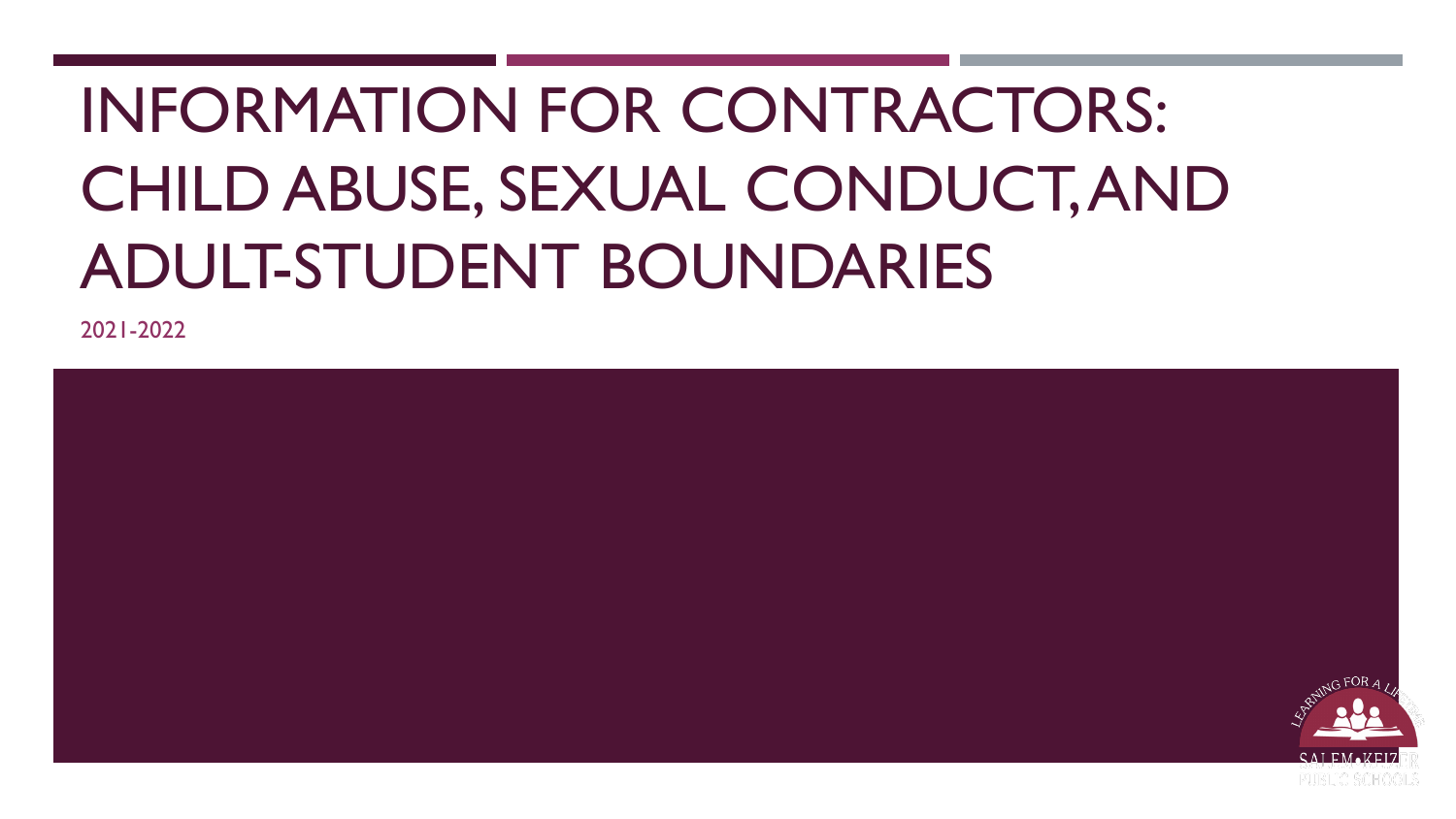# INFORMATION FOR CONTRACTORS: CHILD ABUSE, SEXUAL CONDUCT, AND ADULT-STUDENT BOUNDARIES

2021-2022

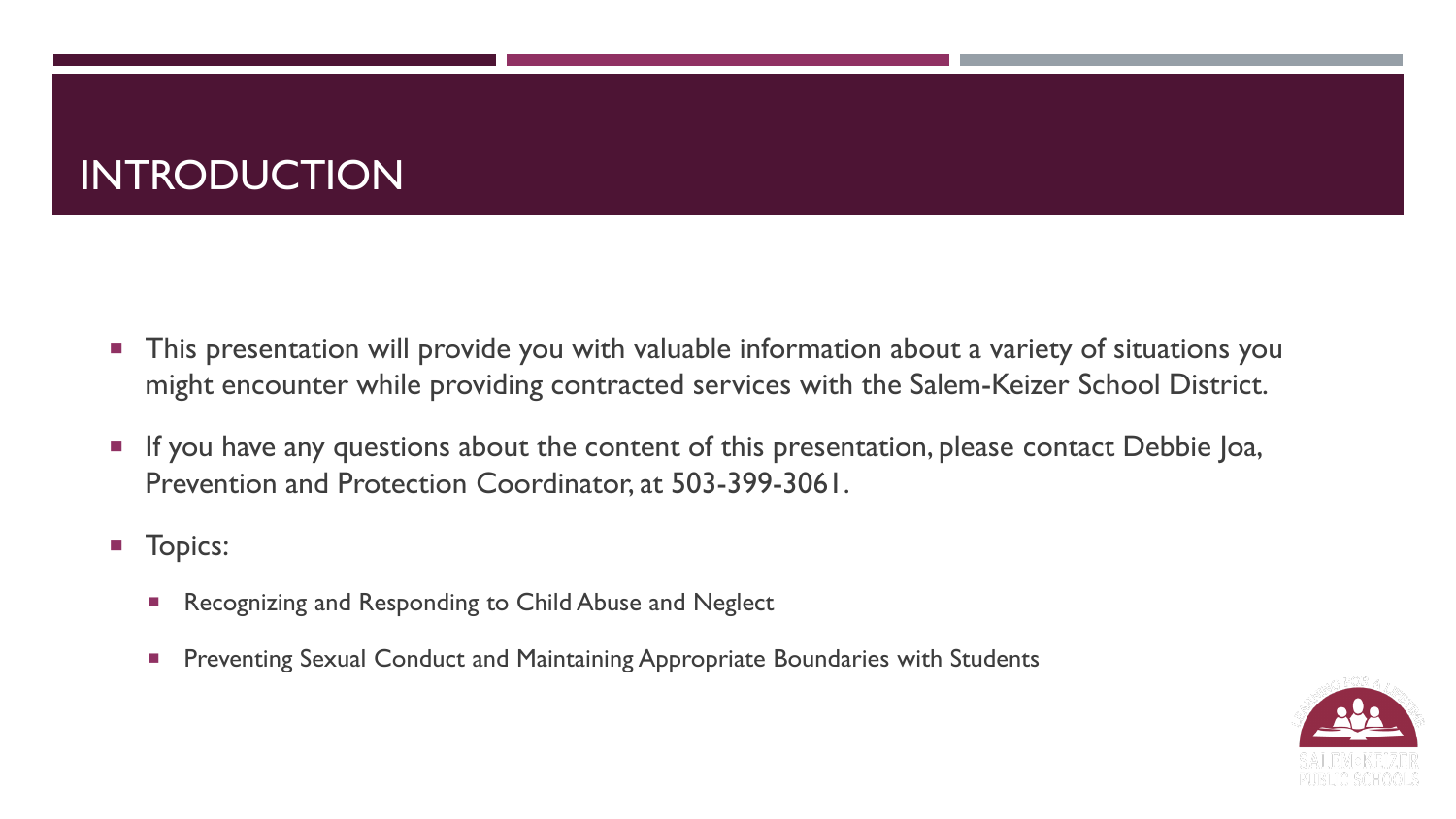### INTRODUCTION

- This presentation will provide you with valuable information about a variety of situations you might encounter while providing contracted services with the Salem-Keizer School District.
- **If you have any questions about the content of this presentation, please contact Debbie Joa,** Prevention and Protection Coordinator, at 503-399-3061.
- **T**opics:
	- Recognizing and Responding to Child Abuse and Neglect
	- **Preventing Sexual Conduct and Maintaining Appropriate Boundaries with Students**

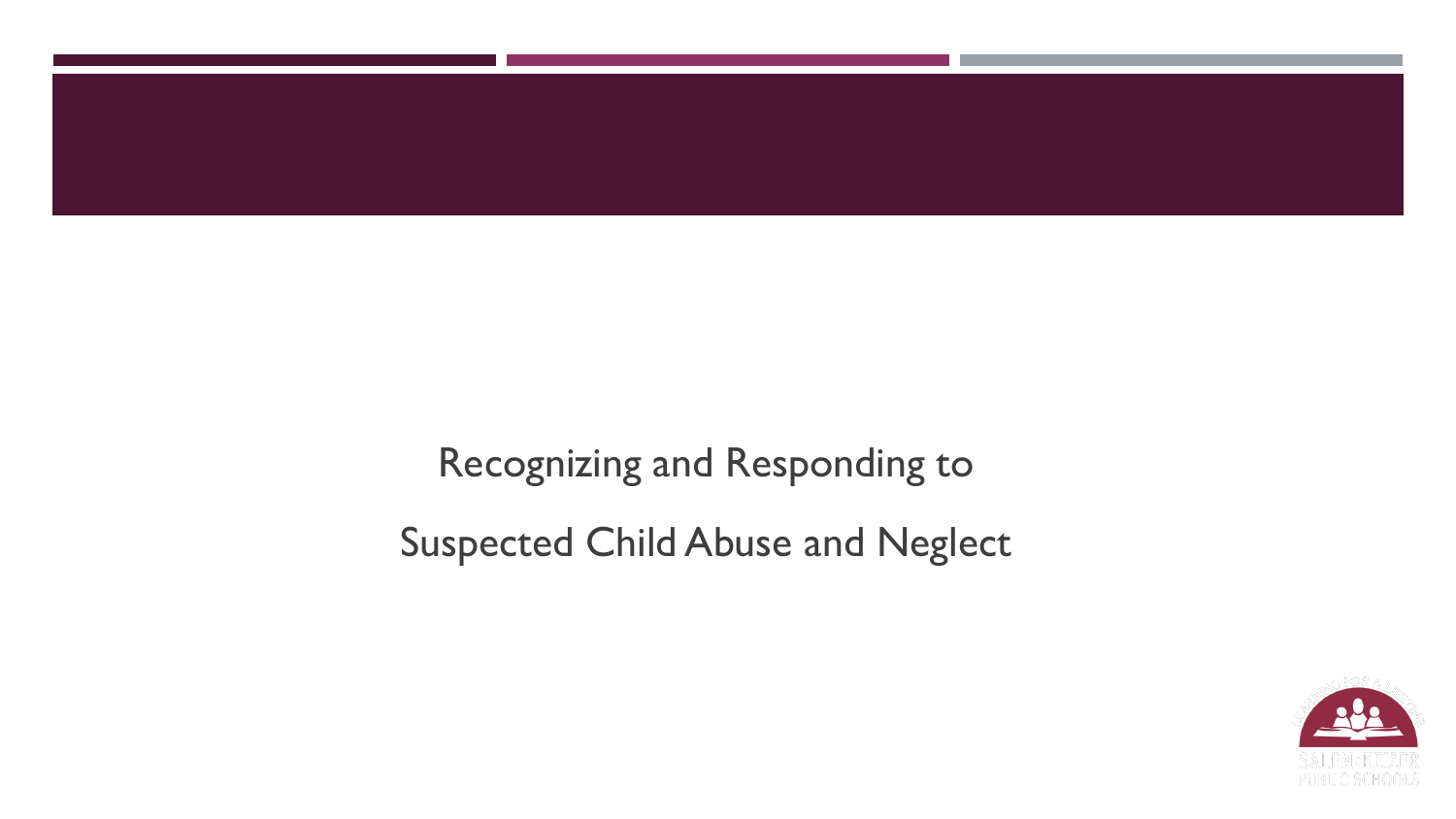

Recognizing and Responding to Suspected Child Abuse and Neglect

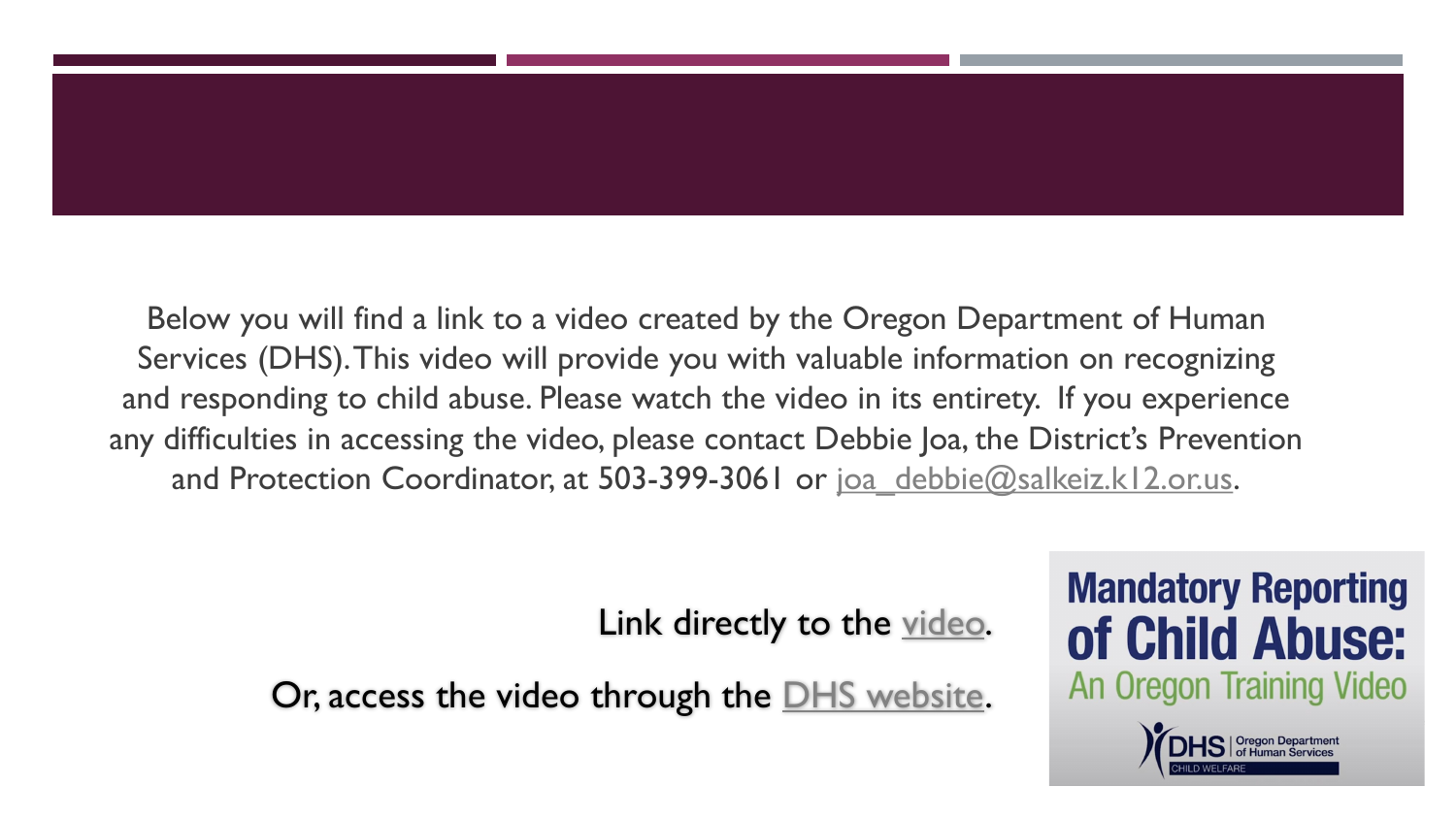Below you will find a link to a video created by the Oregon Department of Human Services (DHS). This video will provide you with valuable information on recognizing and responding to child abuse. Please watch the video in its entirety. If you experience any difficulties in accessing the video, please contact Debbie Joa, the District's Prevention and Protection Coordinator, at 503-399-3061 or [joa\\_debbie@salkeiz.k12.or.us.](mailto:joa_debbie@salkeiz.k12.or.us)

Link directly to the [video](https://www.oregon.gov/dhs/ABUSE/Documents/DHS%20Mandatory%20Reporting%20for%20Child%20Abuse.mp4).

Or, access the video through the [DHS website](https://www.oregon.gov/dhs/abuse/pages/mandatory_report.aspx).

## **Mandatory Reporting** of Child Abuse: An Oregon Training Video

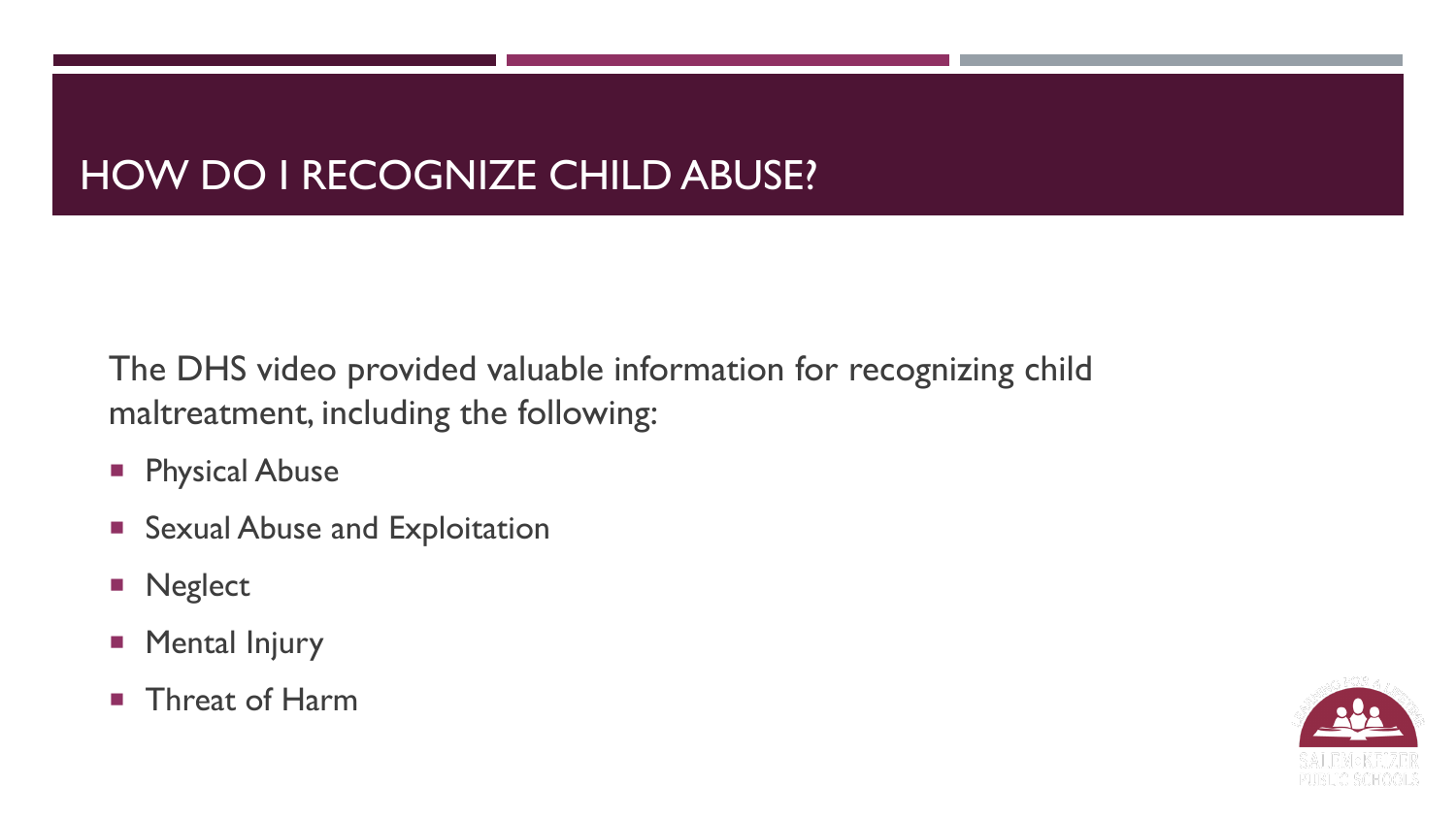### HOW DO I RECOGNIZE CHILD ABUSE?

The DHS video provided valuable information for recognizing child maltreatment, including the following:

- **Physical Abuse**
- **Sexual Abuse and Exploitation**
- **Neglect**
- **Mental Injury**
- **Threat of Harm**

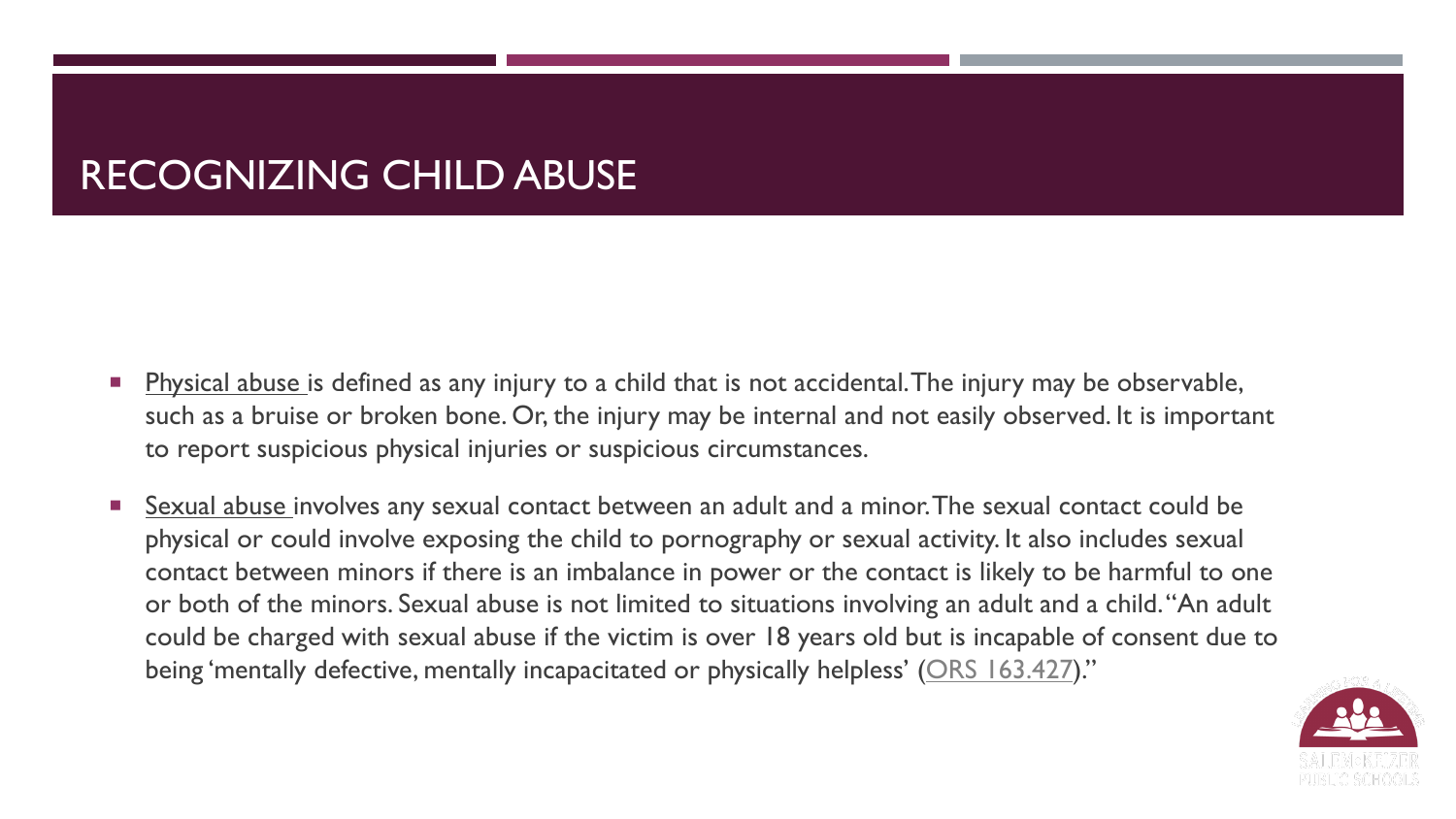### RECOGNIZING CHILD ABUSE

- Physical abuse is defined as any injury to a child that is not accidental. The injury may be observable, such as a bruise or broken bone. Or, the injury may be internal and not easily observed. It is important to report suspicious physical injuries or suspicious circumstances.
- Sexual abuse involves any sexual contact between an adult and a minor. The sexual contact could be physical or could involve exposing the child to pornography or sexual activity. It also includes sexual contact between minors if there is an imbalance in power or the contact is likely to be harmful to one or both of the minors. Sexual abuse is not limited to situations involving an adult and a child. "An adult could be charged with sexual abuse if the victim is over 18 years old but is incapable of consent due to being 'mentally defective, mentally incapacitated or physically helpless' [\(ORS 163.427\)](https://www.oregonlegislature.gov/bills_laws/ors/ors163.html)."

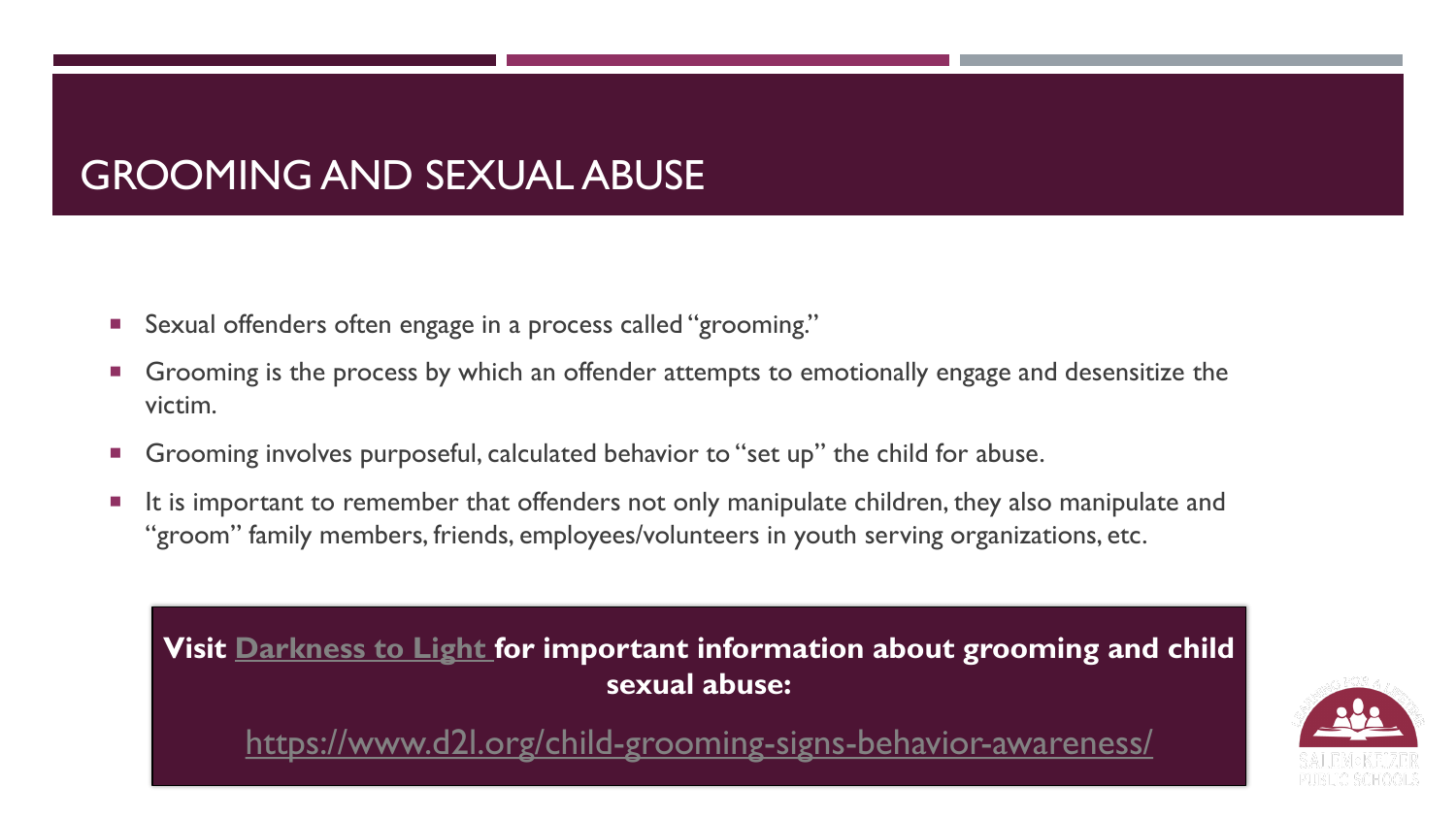### GROOMING AND SEXUAL ABUSE

- Sexual offenders often engage in a process called "grooming."
- Grooming is the process by which an offender attempts to emotionally engage and desensitize the victim.
- Grooming involves purposeful, calculated behavior to "set up" the child for abuse.
- It is important to remember that offenders not only manipulate children, they also manipulate and "groom" family members, friends, employees/volunteers in youth serving organizations, etc.



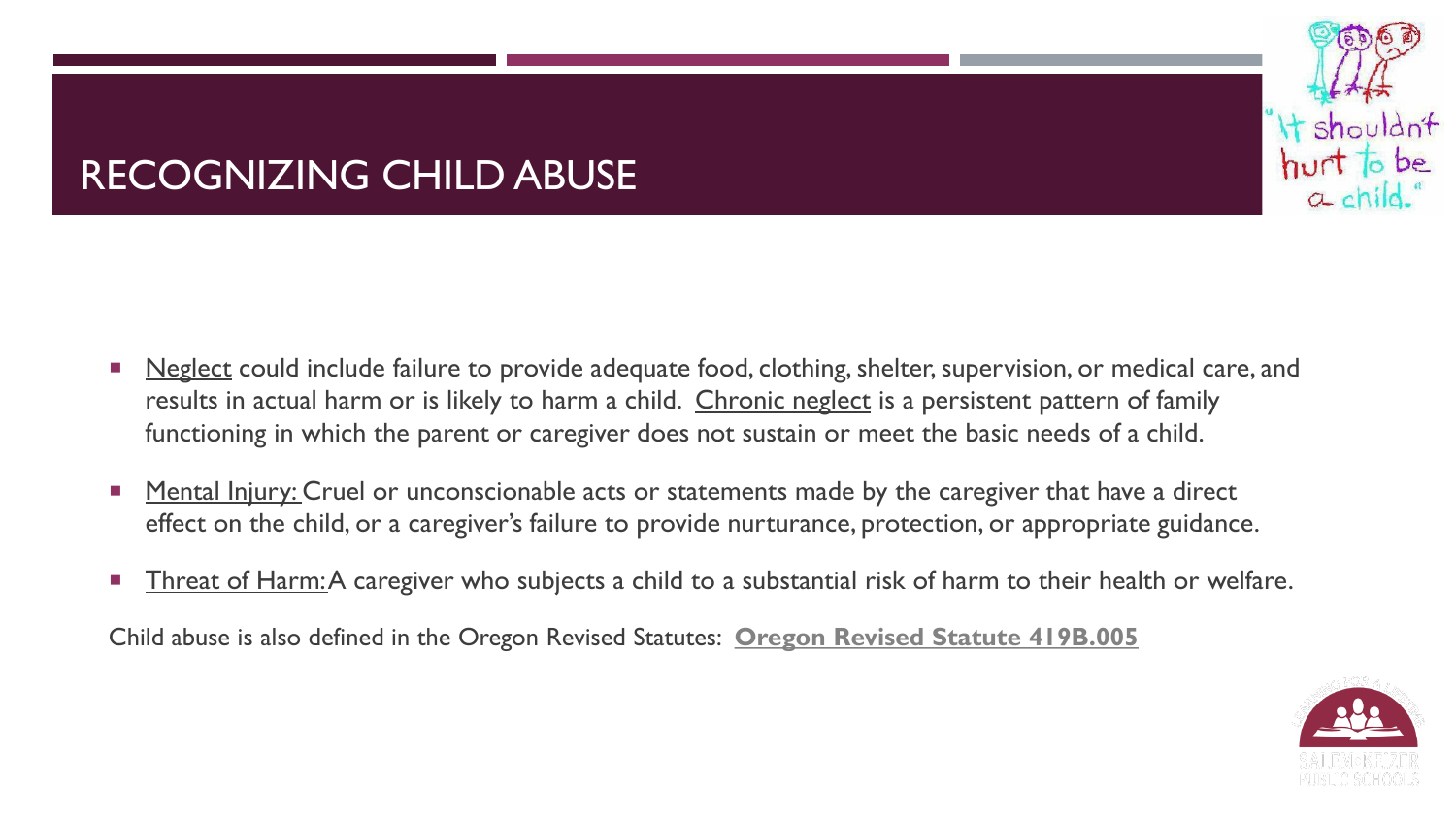

## RECOGNIZING CHILD ABUSE

- **Neglect could include failure to provide adequate food, clothing, shelter, supervision, or medical care, and** results in actual harm or is likely to harm a child. Chronic neglect is a persistent pattern of family functioning in which the parent or caregiver does not sustain or meet the basic needs of a child.
- Mental Injury: Cruel or unconscionable acts or statements made by the caregiver that have a direct effect on the child, or a caregiver's failure to provide nurturance, protection, or appropriate guidance.
- Threat of Harm: A caregiver who subjects a child to a substantial risk of harm to their health or welfare.

Child abuse is also defined in the Oregon Revised Statutes: **[Oregon Revised Statute 419B.005](https://www.oregonlegislature.gov/bills_laws/ors/ors419B.html)**

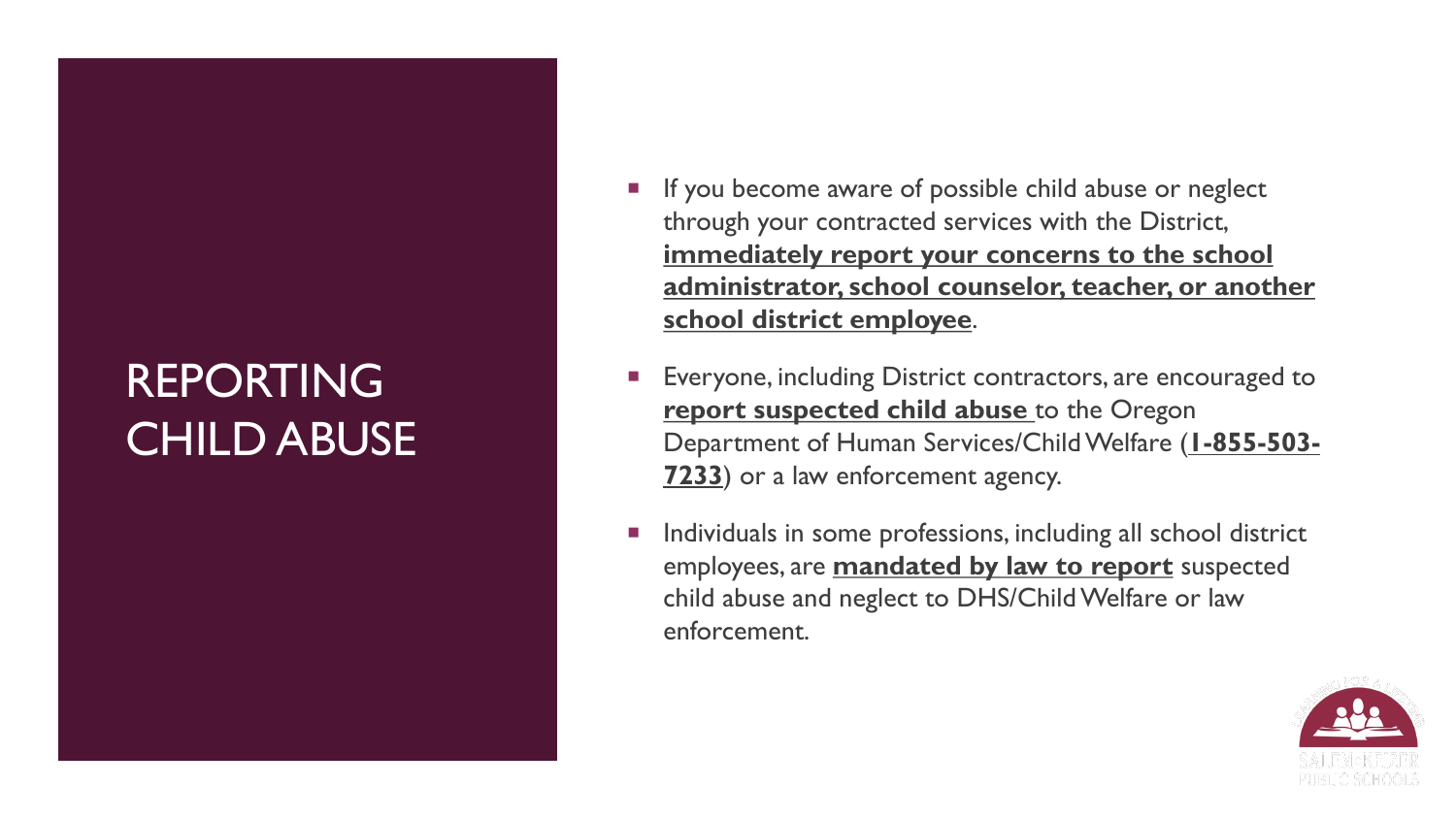# REPORTING CHILD ABUSE

- **If you become aware of possible child abuse or neglect** through your contracted services with the District, **immediately report your concerns to the school administrator, school counselor, teacher, or another school district employee**.
- Everyone, including District contractors, are encouraged to **report suspected child abuse** to the Oregon Department of Human Services/Child Welfare (**1-855-503- 7233**) or a law enforcement agency.
- Individuals in some professions, including all school district employees, are **mandated by law to report** suspected child abuse and neglect to DHS/Child Welfare or law enforcement.

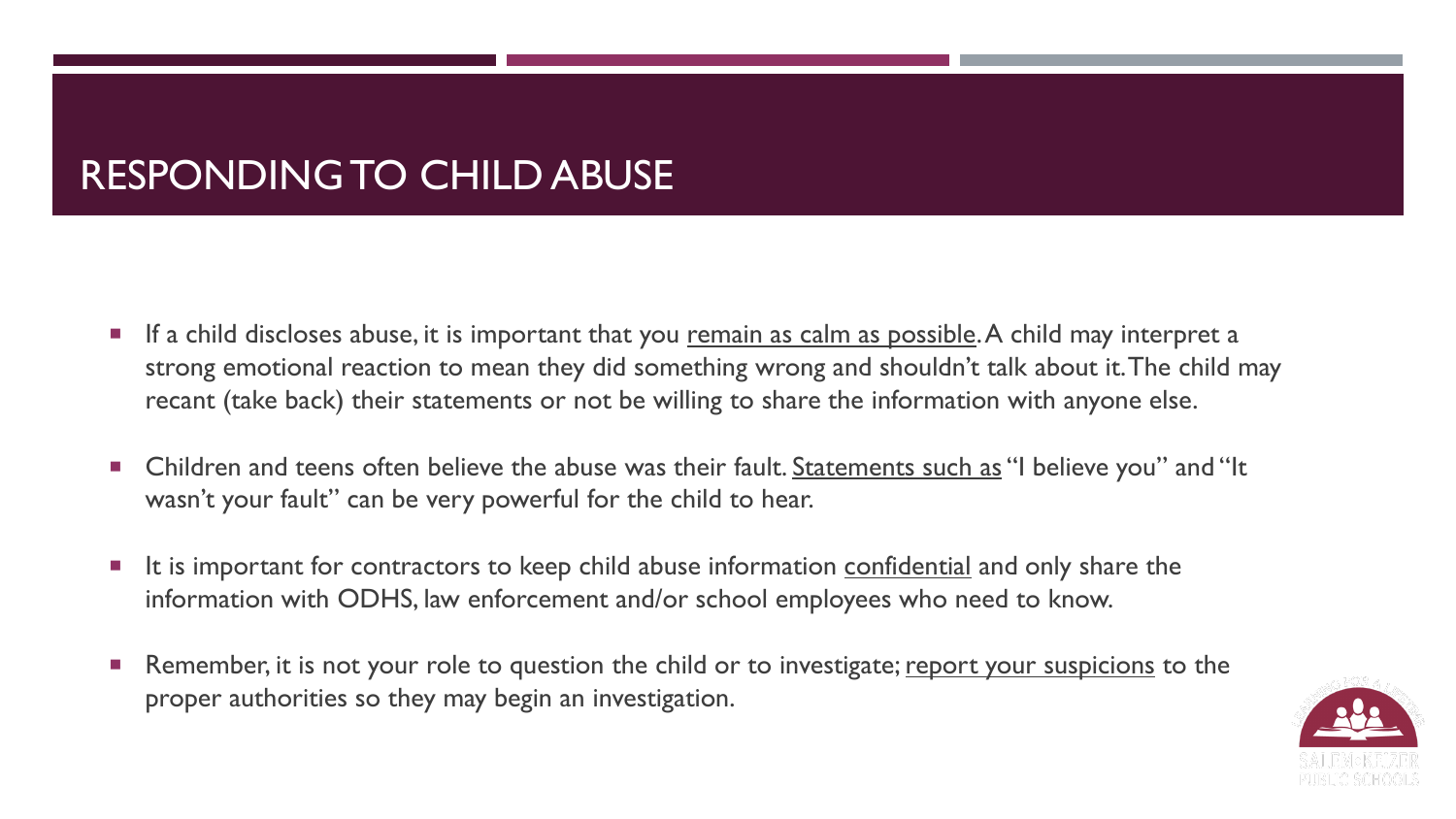### RESPONDING TO CHILD ABUSE

- If a child discloses abuse, it is important that you remain as calm as possible. A child may interpret a strong emotional reaction to mean they did something wrong and shouldn't talk about it. The child may recant (take back) their statements or not be willing to share the information with anyone else.
- Children and teens often believe the abuse was their fault. Statements such as "I believe you" and "It wasn't your fault" can be very powerful for the child to hear.
- It is important for contractors to keep child abuse information confidential and only share the information with ODHS, law enforcement and/or school employees who need to know.
- Remember, it is not your role to question the child or to investigate; report your suspicions to the proper authorities so they may begin an investigation.

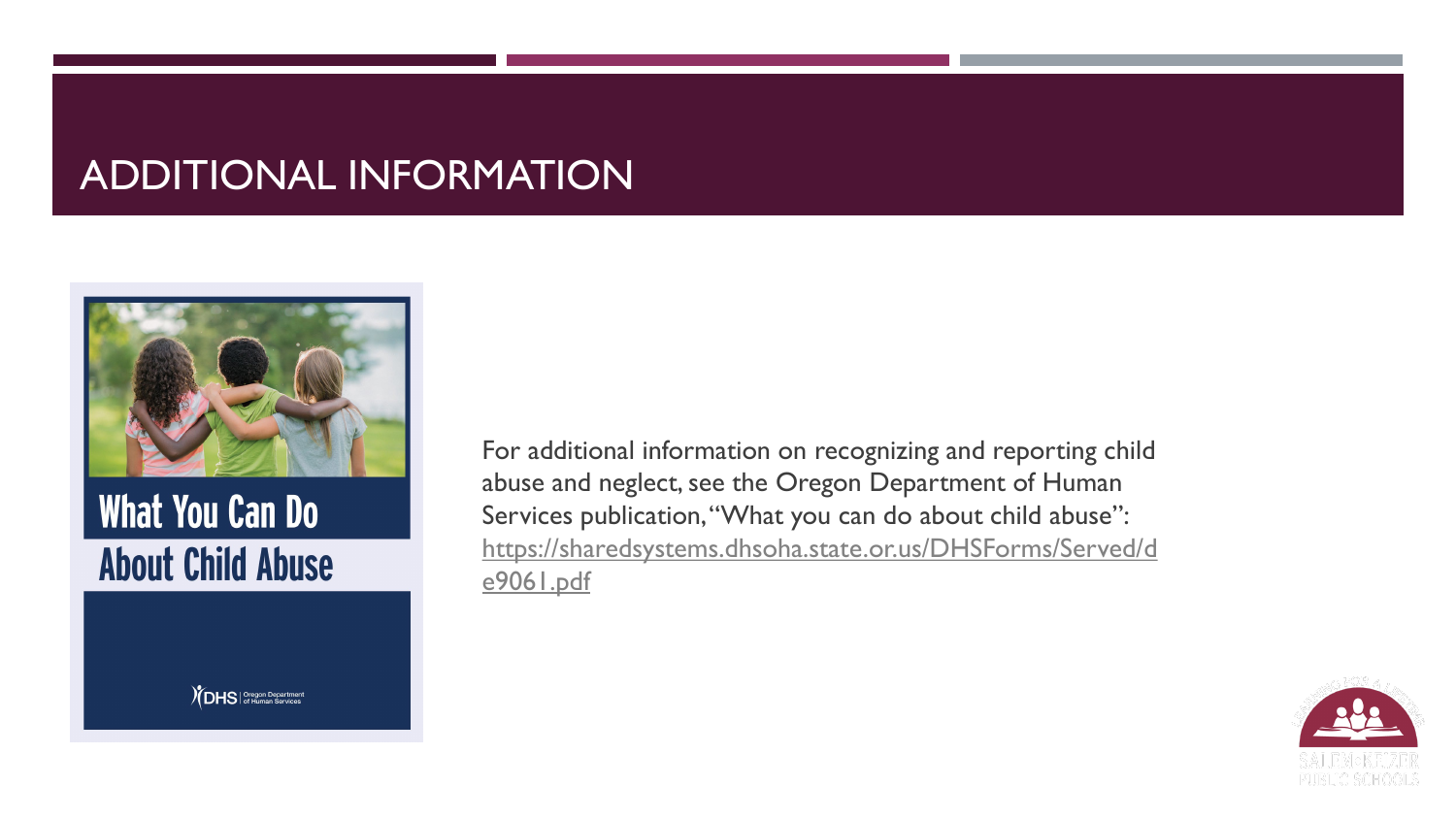### ADDITIONAL INFORMATION



**What You Can Do About Child Abuse** 

 $\gamma$ DHS | Oregon Department

For additional information on recognizing and reporting child abuse and neglect, see the Oregon Department of Human Services publication, "What you can do about child abuse": [https://sharedsystems.dhsoha.state.or.us/DHSForms/Served/d](https://sharedsystems.dhsoha.state.or.us/DHSForms/Served/de9061.pdf) e9061.pdf

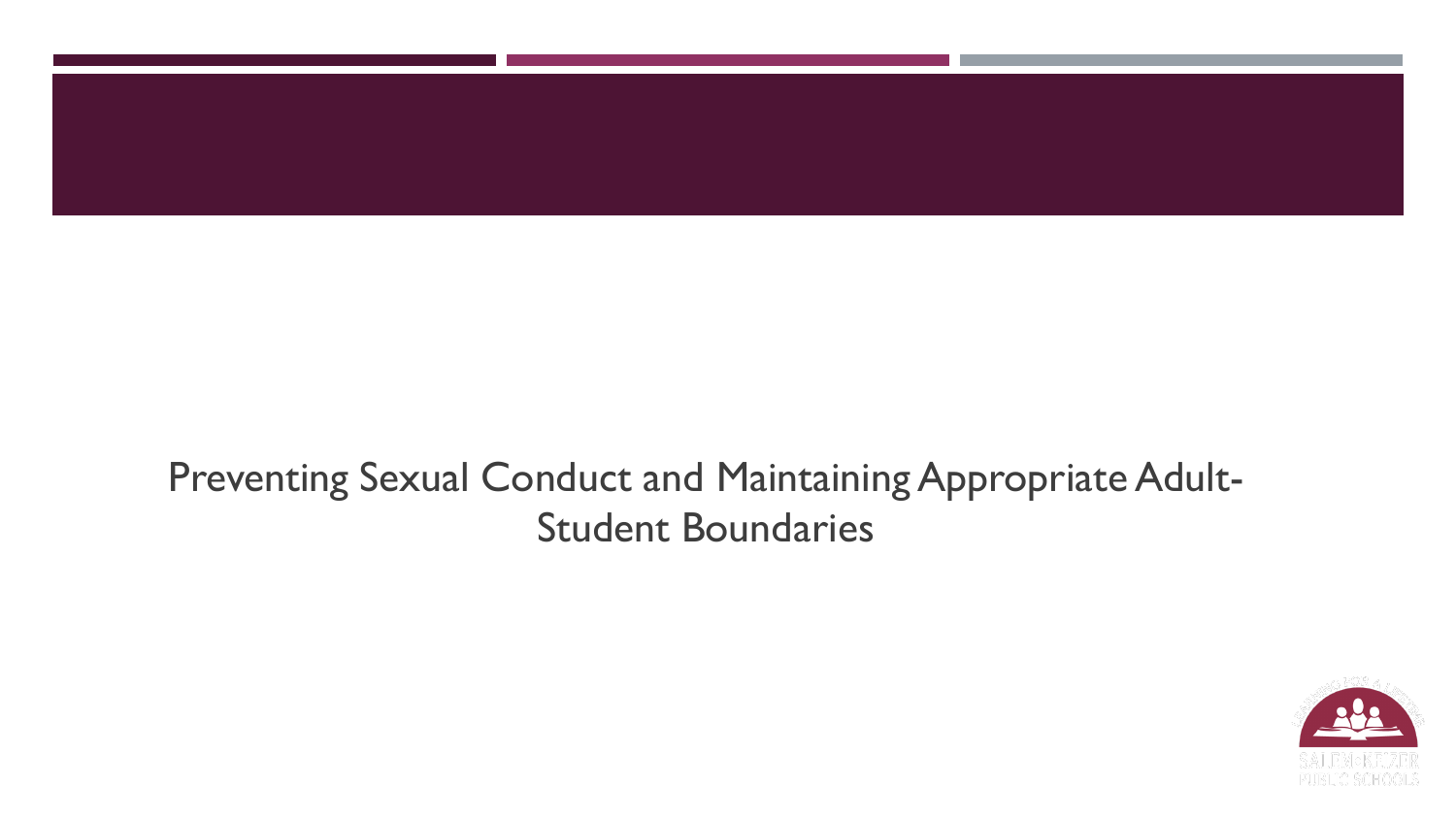

### Preventing Sexual Conduct and Maintaining Appropriate Adult-Student Boundaries

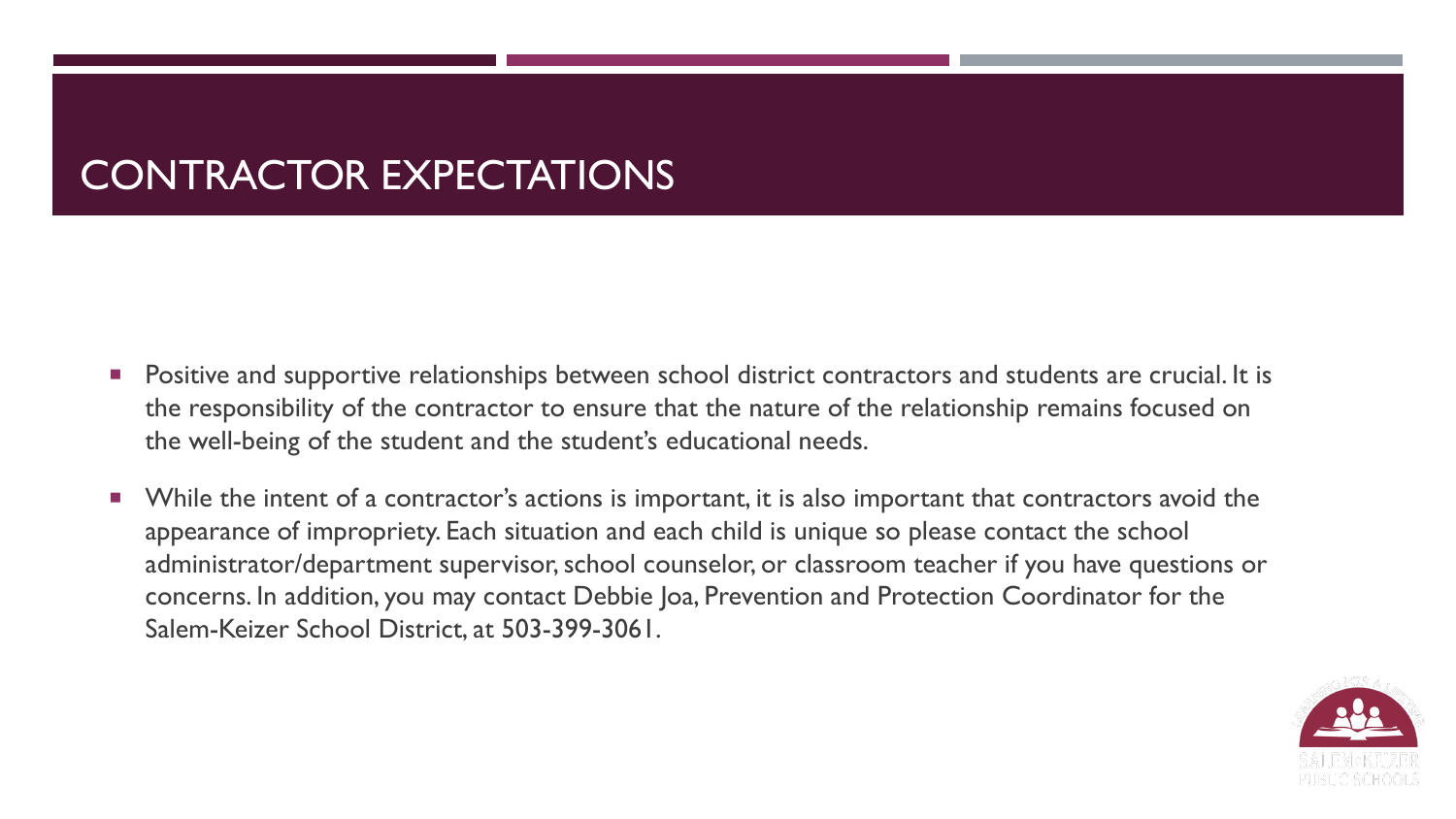### CONTRACTOR EXPECTATIONS

- **Positive and supportive relationships between school district contractors and students are crucial. It is** the responsibility of the contractor to ensure that the nature of the relationship remains focused on the well-being of the student and the student's educational needs.
- **Number 1** While the intent of a contractor's actions is important, it is also important that contractors avoid the appearance of impropriety. Each situation and each child is unique so please contact the school administrator/department supervisor, school counselor, or classroom teacher if you have questions or concerns. In addition, you may contact Debbie Joa, Prevention and Protection Coordinator for the Salem-Keizer School District, at 503-399-3061.

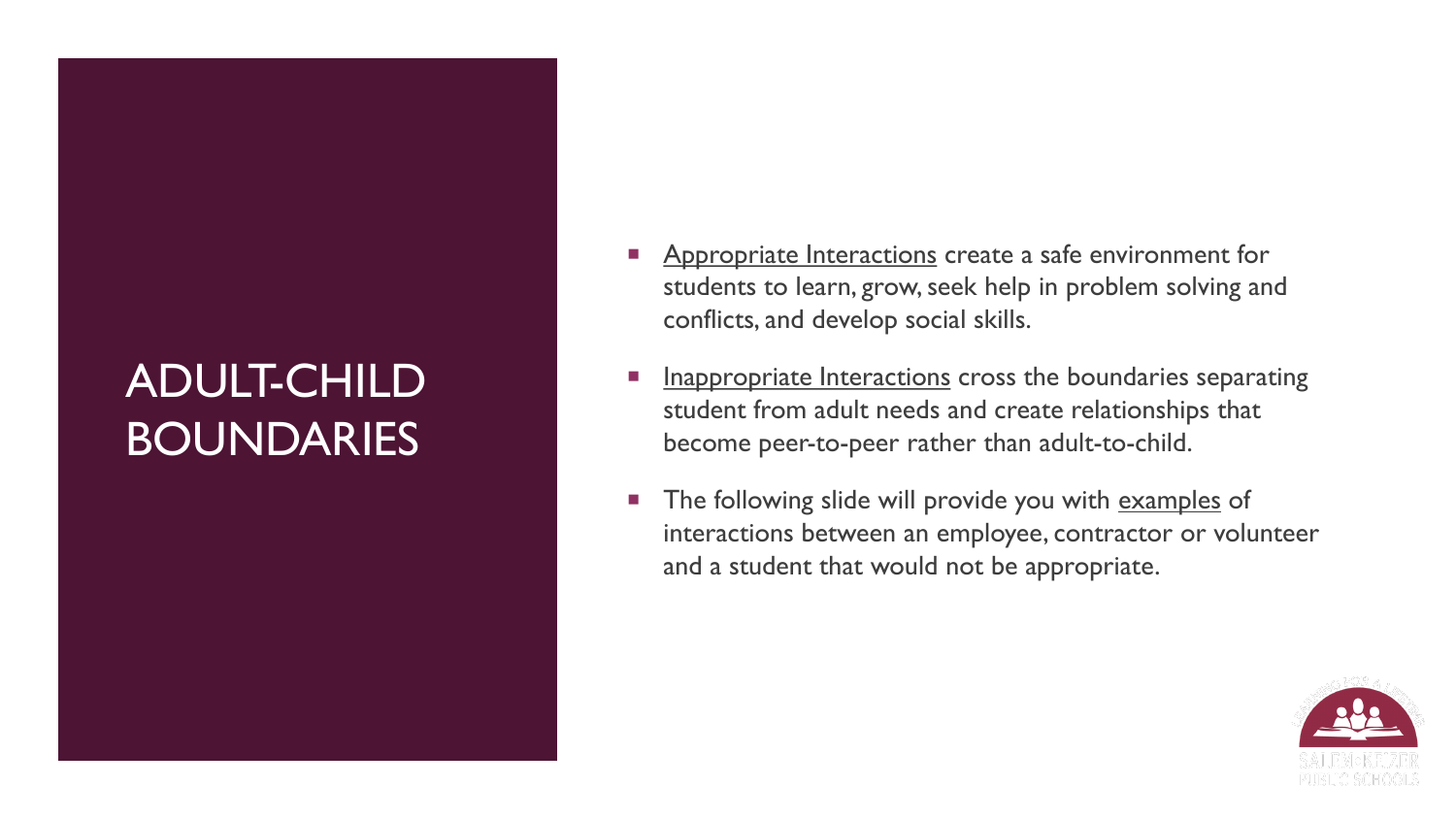# ADULT-CHILD BOUNDARIES

- Appropriate Interactions create a safe environment for students to learn, grow, seek help in problem solving and conflicts, and develop social skills.
- Inappropriate Interactions cross the boundaries separating student from adult needs and create relationships that become peer-to-peer rather than adult-to-child.
- The following slide will provide you with examples of interactions between an employee, contractor or volunteer and a student that would not be appropriate.

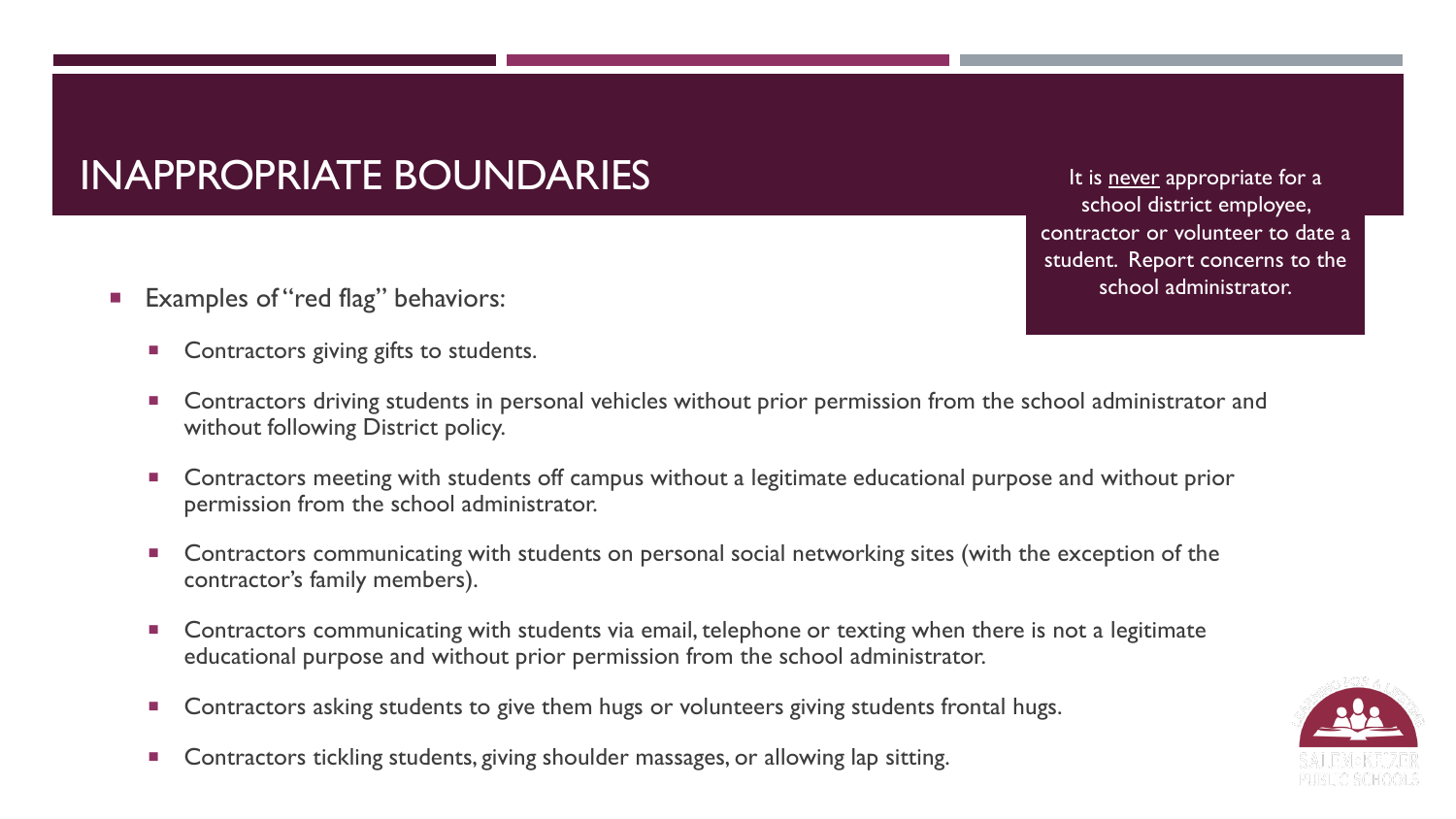### INAPPROPRIATE BOUNDARIES

- Examples of "red flag" behaviors:
	- **Contractors giving gifts to students.**
	- Contractors driving students in personal vehicles without prior permission from the school administrator and without following District policy.
	- Contractors meeting with students off campus without a legitimate educational purpose and without prior permission from the school administrator.
	- **EXTERN** Contractors communicating with students on personal social networking sites (with the exception of the contractor's family members).
	- Contractors communicating with students via email, telephone or texting when there is not a legitimate educational purpose and without prior permission from the school administrator.
	- **Contractors asking students to give them hugs or volunteers giving students frontal hugs.**
	- Contractors tickling students, giving shoulder massages, or allowing lap sitting.

It is never appropriate for a school district employee, contractor or volunteer to date a student. Report concerns to the school administrator.

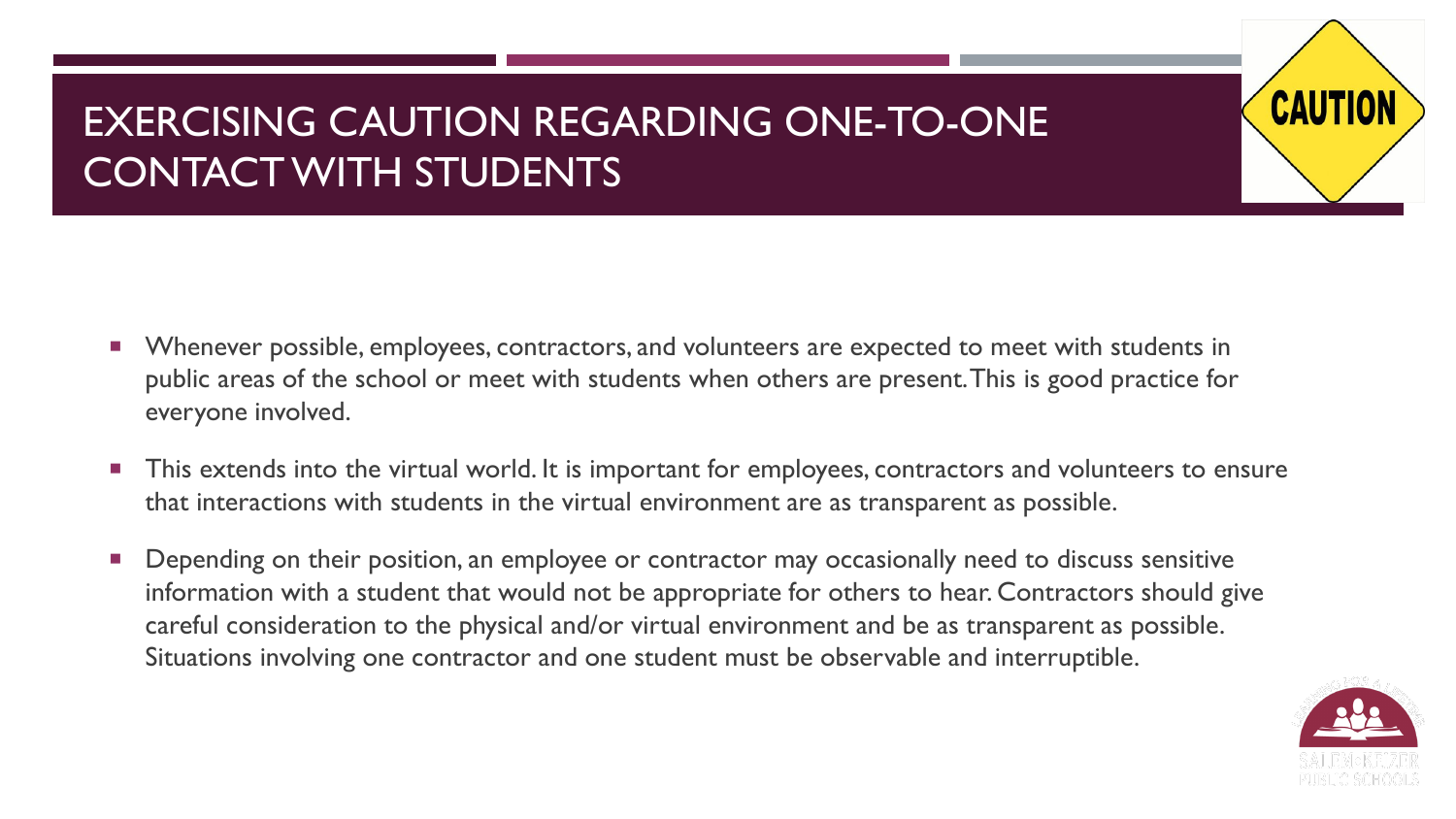### EXERCISING CAUTION REGARDING ONE-TO-ONE CONTACT WITH STUDENTS

- Whenever possible, employees, contractors, and volunteers are expected to meet with students in public areas of the school or meet with students when others are present. This is good practice for everyone involved.
- This extends into the virtual world. It is important for employees, contractors and volunteers to ensure that interactions with students in the virtual environment are as transparent as possible.
- Depending on their position, an employee or contractor may occasionally need to discuss sensitive information with a student that would not be appropriate for others to hear. Contractors should give careful consideration to the physical and/or virtual environment and be as transparent as possible. Situations involving one contractor and one student must be observable and interruptible.



**CAUT**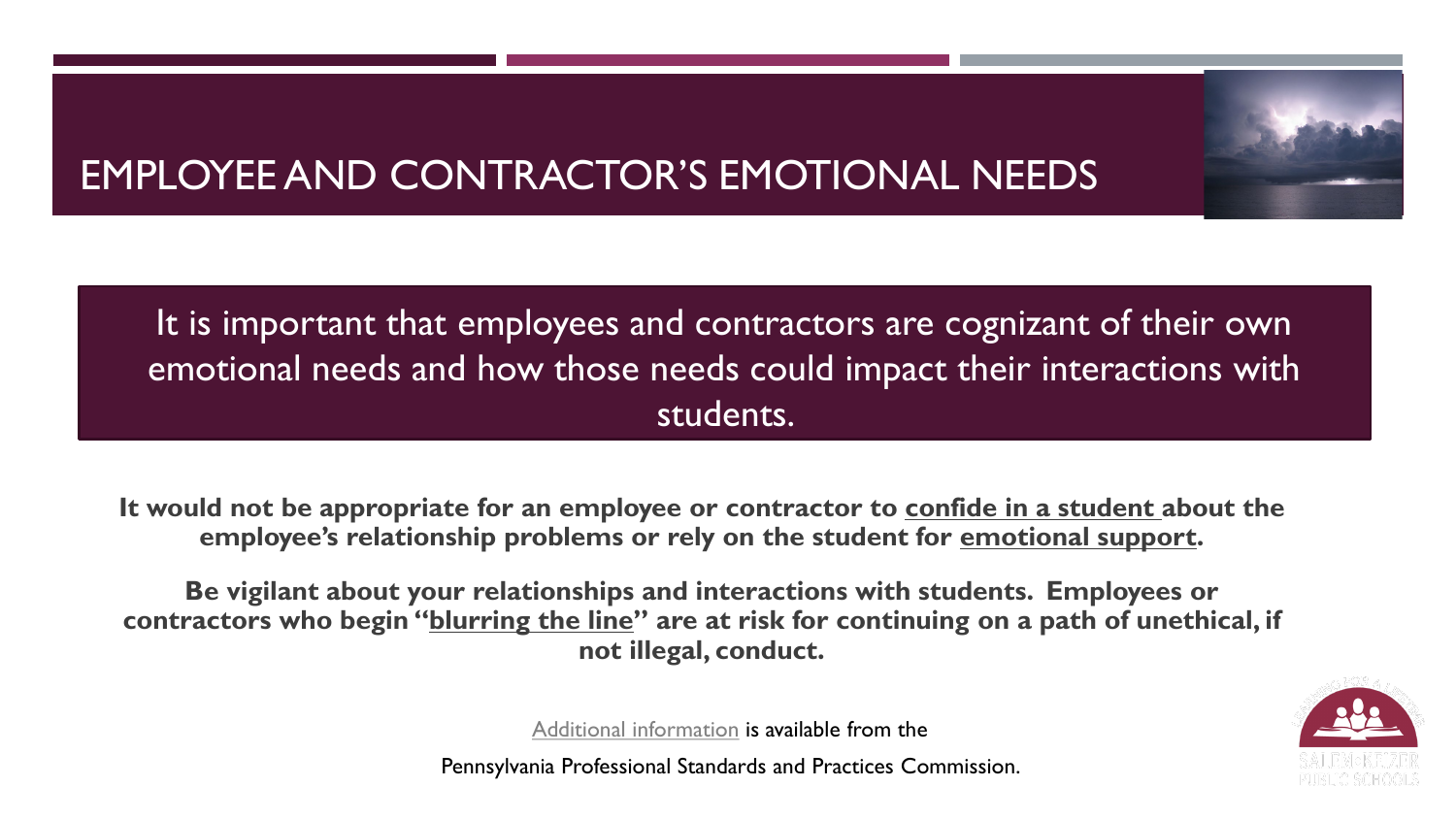## EMPLOYEE AND CONTRACTOR'S EMOTIONAL NEEDS

 $T_{\rm max}$   $\sim$   $T_{\rm max}$   $\sim$   $T_{\rm max}$ emotional needs and how those needs could impact their int[eract](https://commons.wikimedia.org/wiki/File:Lightning_storm_over_the_Caribbean.jpg)i[ons w](https://creativecommons.org/licenses/by-sa/3.0/)ith It is important that employees and contractors are cognizant of their own students.

**It would not be appropriate for an employee or contractor to confide in a student about the employee's relationship problems or rely on the student for emotional support.**

**Be vigilant about your relationships and interactions with students. Employees or contractors who begin "blurring the line" are at risk for continuing on a path of unethical, if not illegal, conduct.**



[Additional information](https://www.pspc.education.pa.gov/Promoting-Ethical-Practices-Resources/Ethics-Toolkit/Unit3/Pages/The-Teacher---Student-Relationship.aspx) is available from the

Pennsylvania Professional Standards and Practices Commission.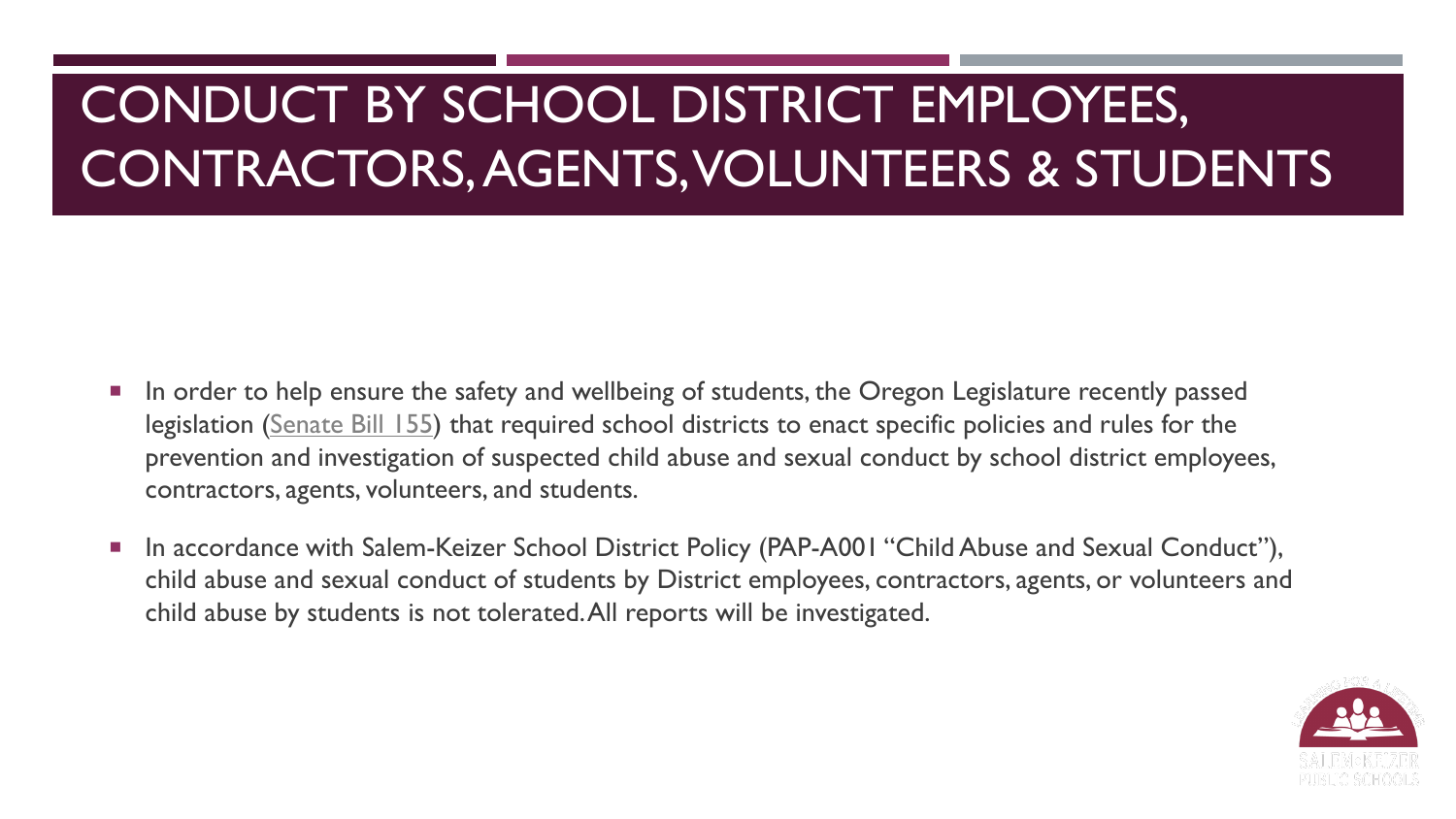- In order to help ensure the safety and wellbeing of students, the Oregon Legislature recently passed legislation [\(Senate Bill 155\)](https://olis.oregonlegislature.gov/liz/2019R1/Downloads/MeasureDocument/SB155/Enrolled) that required school districts to enact specific policies and rules for the prevention and investigation of suspected child abuse and sexual conduct by school district employees, contractors, agents, volunteers, and students.
- In accordance with Salem-Keizer School District Policy (PAP-A001 "Child Abuse and Sexual Conduct"), child abuse and sexual conduct of students by District employees, contractors, agents, or volunteers and child abuse by students is not tolerated. All reports will be investigated.

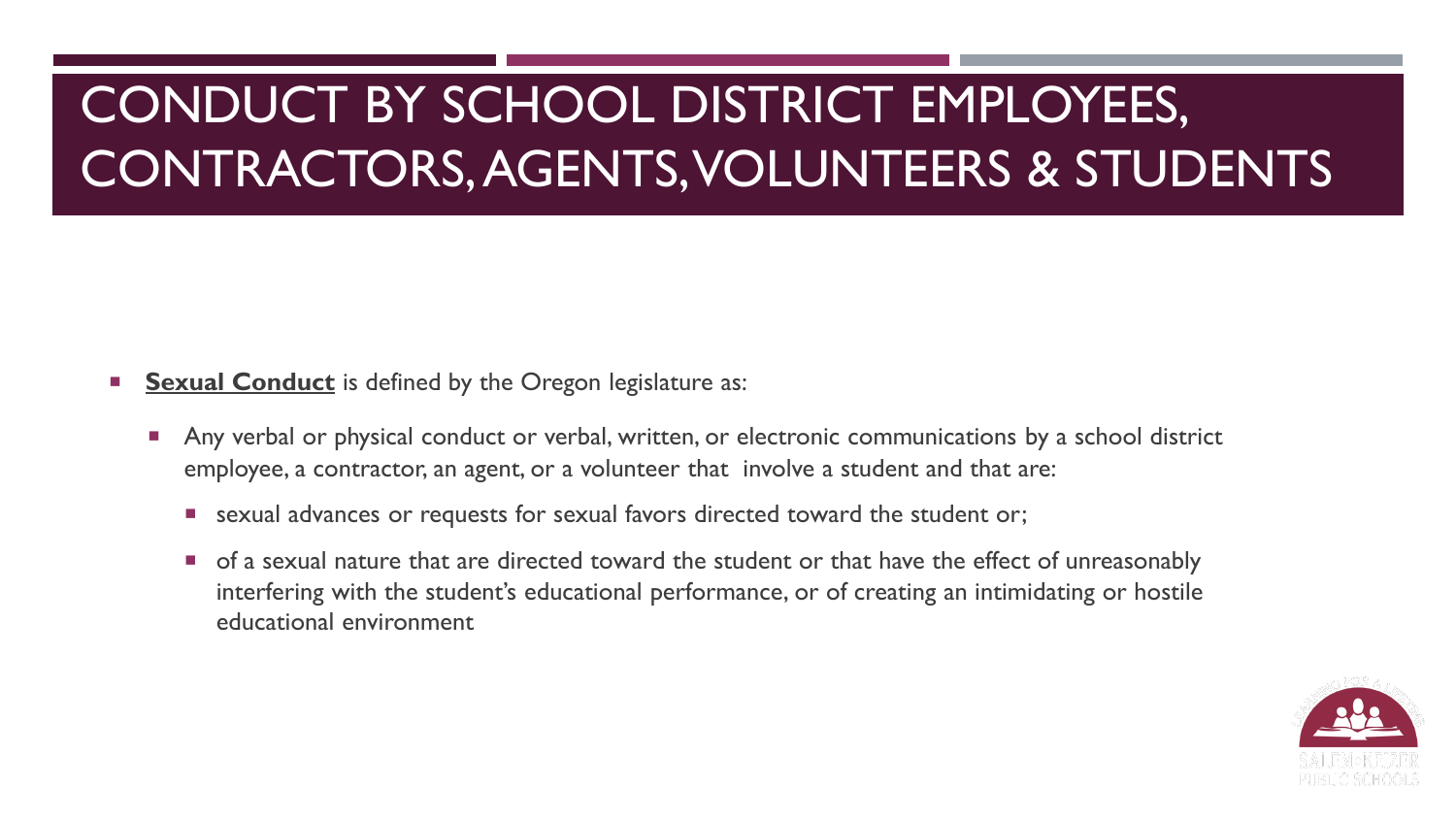### **Sexual Conduct** is defined by the Oregon legislature as:

- Any verbal or physical conduct or verbal, written, or electronic communications by a school district employee, a contractor, an agent, or a volunteer that involve a student and that are:
	- **E** sexual advances or requests for sexual favors directed toward the student or;
	- **T** of a sexual nature that are directed toward the student or that have the effect of unreasonably interfering with the student's educational performance, or of creating an intimidating or hostile educational environment

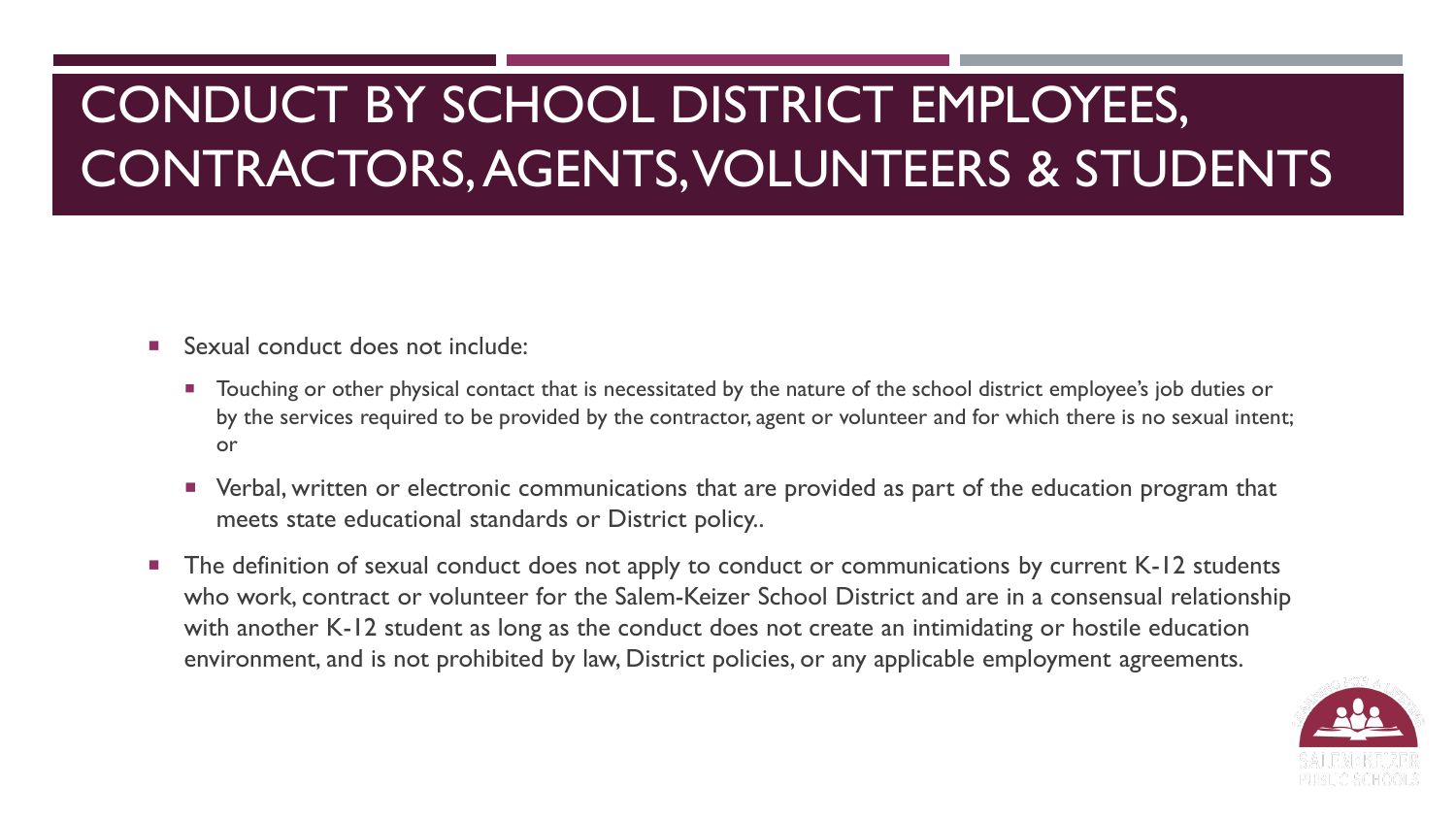- Sexual conduct does not include:
	- **Touching or other physical contact that is necessitated by the nature of the school district employee's job duties or** by the services required to be provided by the contractor, agent or volunteer and for which there is no sexual intent; or
	- Verbal, written or electronic communications that are provided as part of the education program that meets state educational standards or District policy..
- The definition of sexual conduct does not apply to conduct or communications by current K-12 students who work, contract or volunteer for the Salem-Keizer School District and are in a consensual relationship with another K-12 student as long as the conduct does not create an intimidating or hostile education environment, and is not prohibited by law, District policies, or any applicable employment agreements.

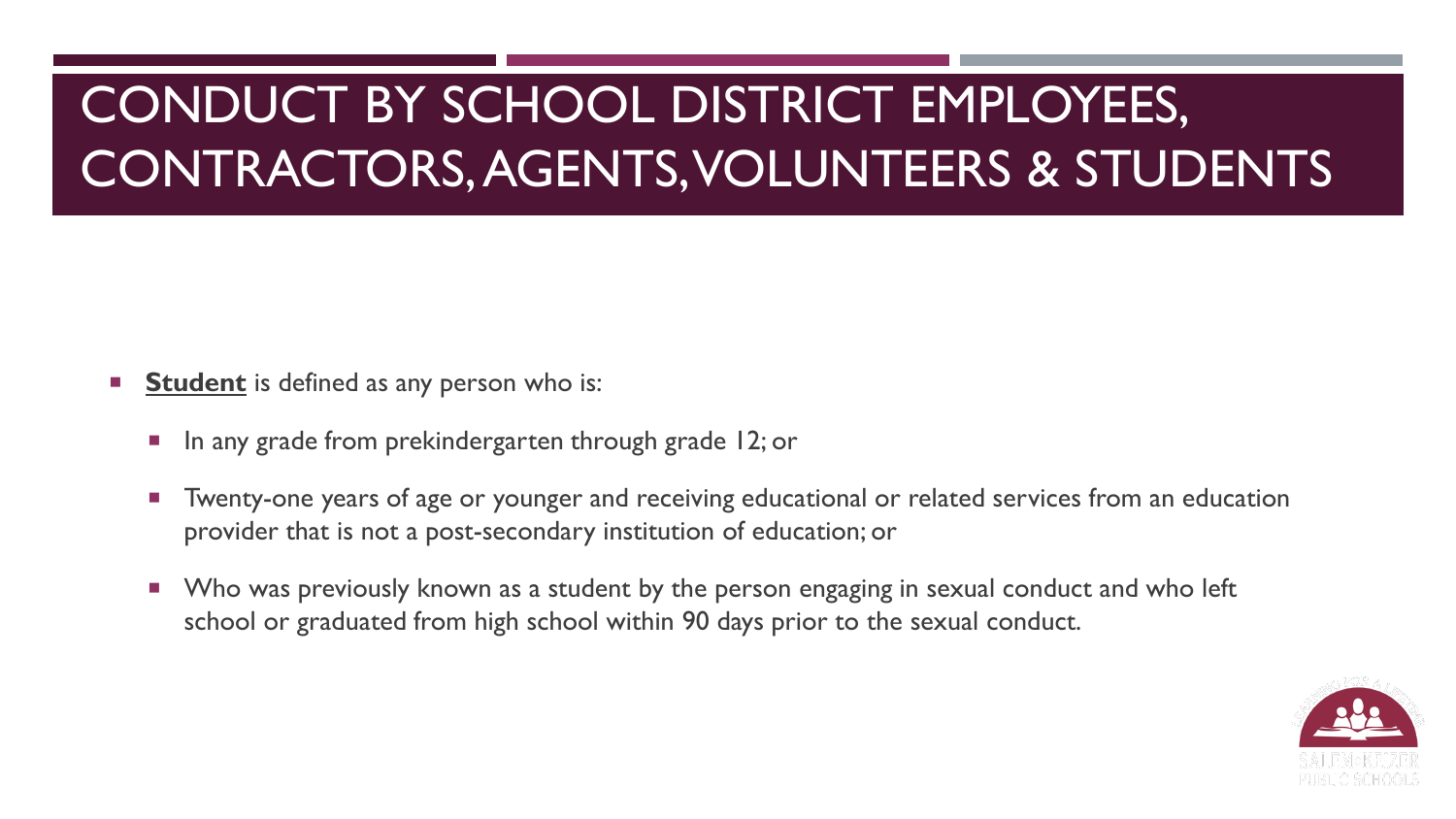- **Student** is defined as any person who is:
	- **If**  $\blacksquare$  In any grade from prekindergarten through grade 12; or
	- Twenty-one years of age or younger and receiving educational or related services from an education provider that is not a post-secondary institution of education; or
	- **No was previously known as a student by the person engaging in sexual conduct and who left** school or graduated from high school within 90 days prior to the sexual conduct.

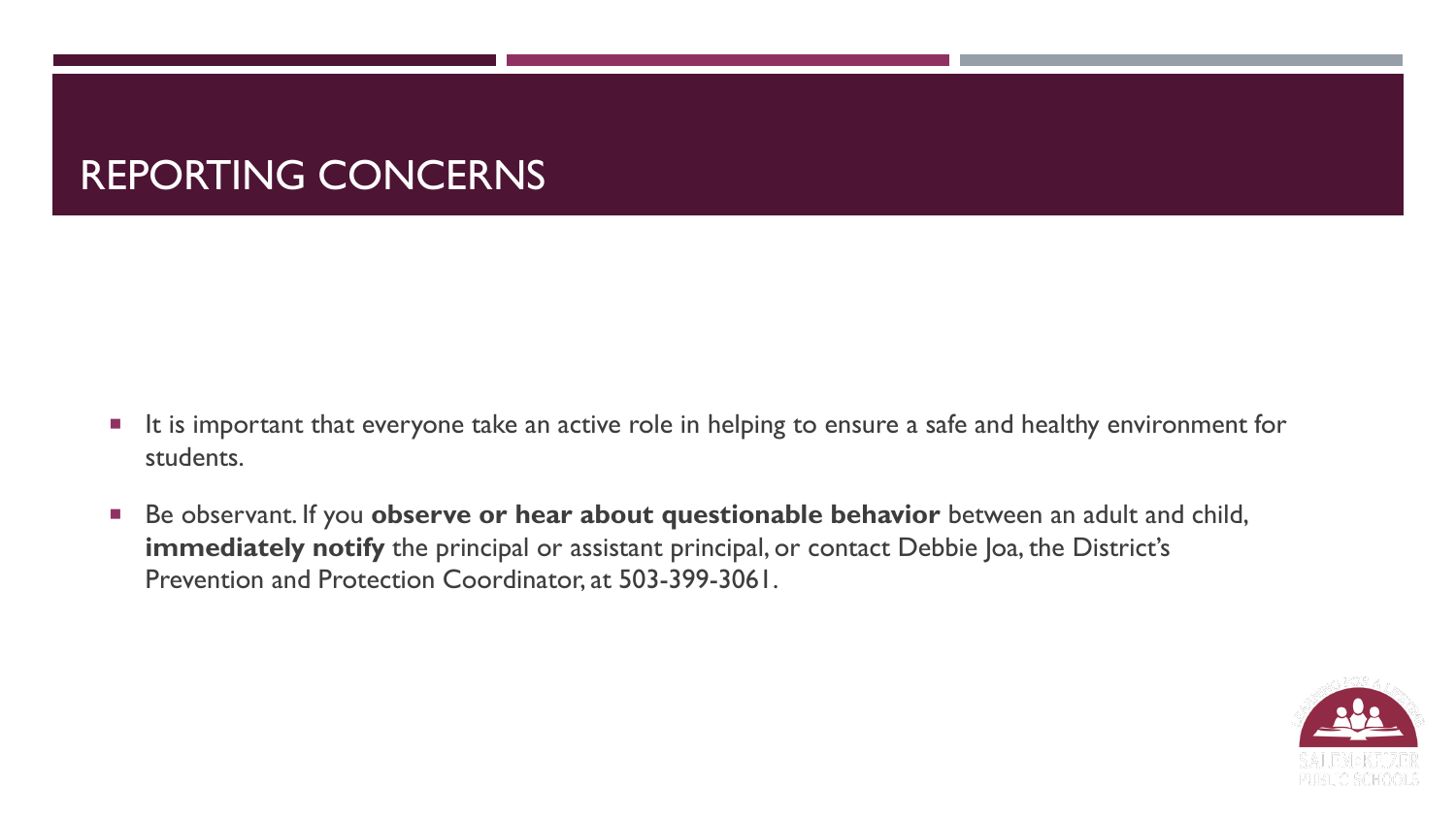### REPORTING CONCERNS

- It is important that everyone take an active role in helping to ensure a safe and healthy environment for students.
- Be observant. If you **observe or hear about questionable behavior** between an adult and child, **immediately notify** the principal or assistant principal, or contact Debbie Joa, the District's Prevention and Protection Coordinator, at 503-399-3061.

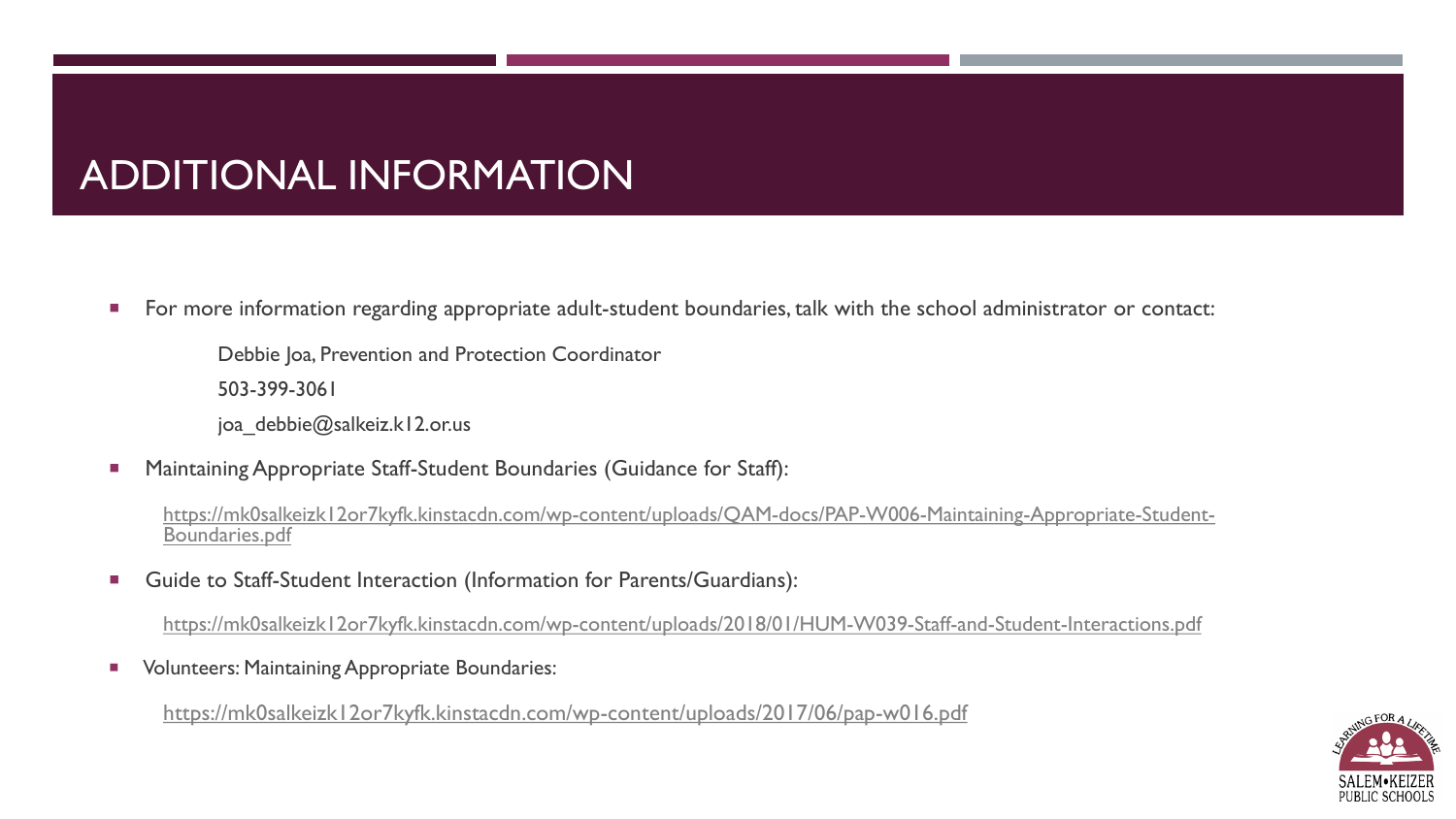### ADDITIONAL INFORMATION

**For more information regarding appropriate adult-student boundaries, talk with the school administrator or contact:** 

Debbie Joa, Prevention and Protection Coordinator

503-399-3061

joa debbie@salkeiz.k12.or.us

Maintaining Appropriate Staff-Student Boundaries (Guidance for Staff):

[https://mk0salkeizk12or7kyfk.kinstacdn.com/wp-content/uploads/QAM-docs/PAP-W006-Maintaining-Appropriate-Student-](https://mk0salkeizk12or7kyfk.kinstacdn.com/wp-content/uploads/QAM-docs/PAP-W006-Maintaining-Appropriate-Student-Boundaries.pdf)<br>Boundaries.pdf

**Guide to Staff-Student Interaction (Information for Parents/Guardians):** 

<https://mk0salkeizk12or7kyfk.kinstacdn.com/wp-content/uploads/2018/01/HUM-W039-Staff-and-Student-Interactions.pdf>

Volunteers: Maintaining Appropriate Boundaries:

<https://mk0salkeizk12or7kyfk.kinstacdn.com/wp-content/uploads/2017/06/pap-w016.pdf>